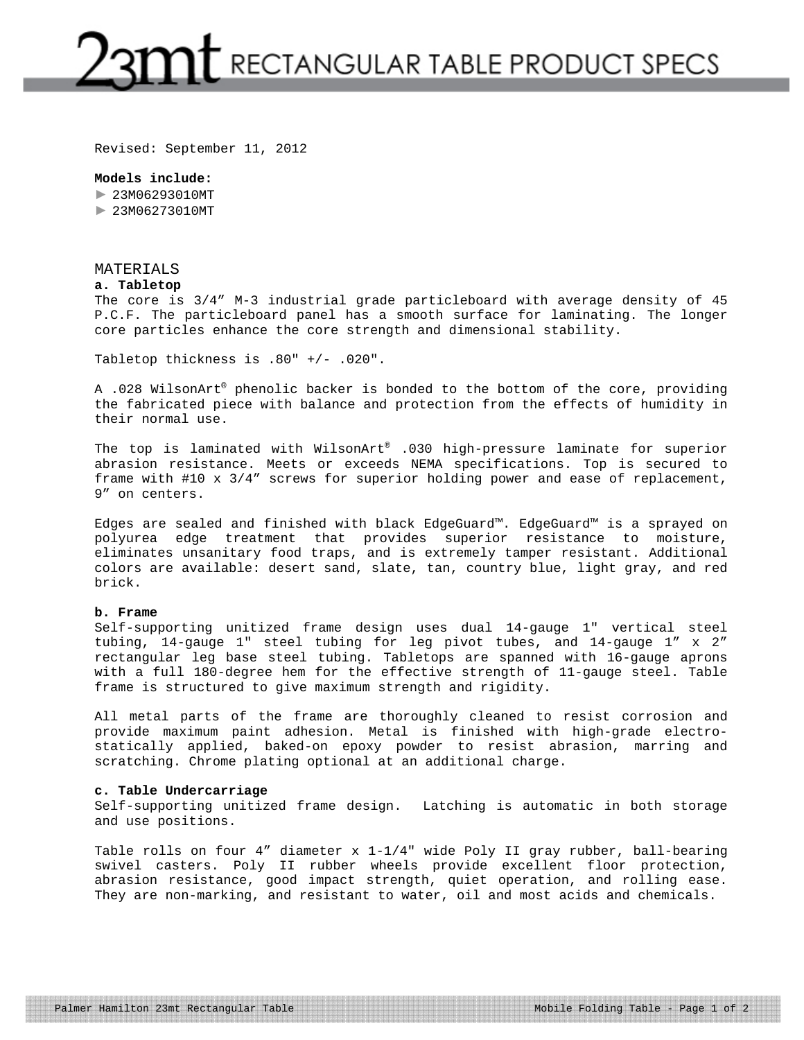## $2$ 3 $\mathfrak{m}$ t rectangular table product specs

Revised: September 11, 2012

#### **Models include:**

► 23M06293010MT ► 23M06273010MT

## MATERIALS

#### **a. Tabletop**

The core is 3/4" M-3 industrial grade particleboard with average density of 45 P.C.F. The particleboard panel has a smooth surface for laminating. The longer core particles enhance the core strength and dimensional stability.

Tabletop thickness is .80" +/- .020".

A .028 WilsonArt® phenolic backer is bonded to the bottom of the core, providing the fabricated piece with balance and protection from the effects of humidity in their normal use.

The top is laminated with WilsonArt® .030 high-pressure laminate for superior abrasion resistance. Meets or exceeds NEMA specifications. Top is secured to frame with #10 x 3/4" screws for superior holding power and ease of replacement, 9" on centers.

Edges are sealed and finished with black EdgeGuard™. EdgeGuard™ is a sprayed on polyurea edge treatment that provides superior resistance to moisture, eliminates unsanitary food traps, and is extremely tamper resistant. Additional colors are available: desert sand, slate, tan, country blue, light gray, and red brick.

#### **b. Frame**

Self-supporting unitized frame design uses dual 14-gauge 1" vertical steel tubing, 14-gauge 1" steel tubing for leg pivot tubes, and 14-gauge 1" x 2" rectangular leg base steel tubing. Tabletops are spanned with 16-gauge aprons with a full 180-degree hem for the effective strength of 11-gauge steel. Table frame is structured to give maximum strength and rigidity.

All metal parts of the frame are thoroughly cleaned to resist corrosion and provide maximum paint adhesion. Metal is finished with high-grade electrostatically applied, baked-on epoxy powder to resist abrasion, marring and scratching. Chrome plating optional at an additional charge.

#### **c. Table Undercarriage**

Self-supporting unitized frame design. Latching is automatic in both storage and use positions.

Table rolls on four 4" diameter x 1-1/4" wide Poly II gray rubber, ball-bearing swivel casters. Poly II rubber wheels provide excellent floor protection, abrasion resistance, good impact strength, quiet operation, and rolling ease. They are non-marking, and resistant to water, oil and most acids and chemicals.

Palmer Hamilton 23mt Rectangular Table Mobile Folding Table - Page 1 of 2